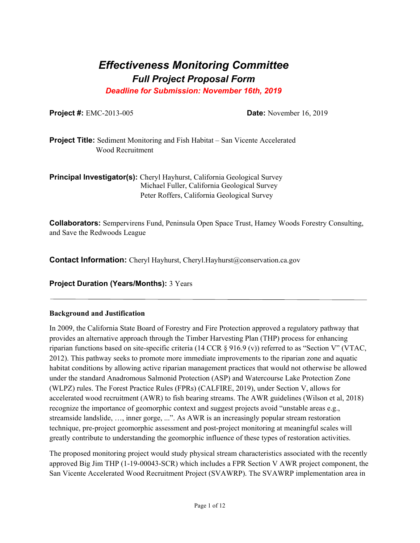# *Effectiveness Monitoring Committee Full Project Proposal Form*

*Deadline for Submission: November 16th, 2019* 

**Project #:** EMC-2013-005 **Date:** November 16, 2019

**Project Title:** Sediment Monitoring and Fish Habitat – San Vicente Accelerated Wood Recruitment

**Principal Investigator(s):** Cheryl Hayhurst, California Geological Survey Michael Fuller, California Geological Survey Peter Roffers, California Geological Survey

**Collaborators:** Sempervirens Fund, Peninsula Open Space Trust, Hamey Woods Forestry Consulting, and Save the Redwoods League

**Contact Information:** Cheryl Hayhurst, Cheryl.Hayhurst@conservation.ca.gov

**Project Duration (Years/Months):** 3 Years

# **Background and Justification**

 In 2009, the California State Board of Forestry and Fire Protection approved a regulatory pathway that provides an alternative approach through the Timber Harvesting Plan (THP) process for enhancing riparian functions based on site-specific criteria (14 CCR § 916.9 (v)) referred to as "Section V" (VTAC, 2012). This pathway seeks to promote more immediate improvements to the riparian zone and aquatic habitat conditions by allowing active riparian management practices that would not otherwise be allowed under the standard Anadromous Salmonid Protection (ASP) and Watercourse Lake Protection Zone (WLPZ) rules. The Forest Practice Rules (FPRs) (CALFIRE, 2019), under Section V, allows for accelerated wood recruitment (AWR) to fish bearing streams. The AWR guidelines (Wilson et al, 2018) recognize the importance of geomorphic context and suggest projects avoid "unstable areas e.g., streamside landslide, …, inner gorge, ...". As AWR is an increasingly popular stream restoration technique, pre-project geomorphic assessment and post-project monitoring at meaningful scales will greatly contribute to understanding the geomorphic influence of these types of restoration activities.

 approved Big Jim THP (1-19-00043-SCR) which includes a FPR Section V AWR project component, the The proposed monitoring project would study physical stream characteristics associated with the recently San Vicente Accelerated Wood Recruitment Project (SVAWRP). The SVAWRP implementation area in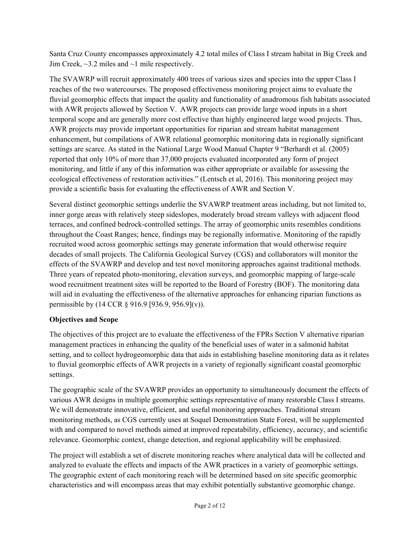Jim Creek,  $\sim$ 3.2 miles and  $\sim$ 1 mile respectively. Santa Cruz County encompasses approximately 4.2 total miles of Class I stream habitat in Big Creek and

The SVAWRP will recruit approximately 400 trees of various sizes and species into the upper Class I reaches of the two watercourses. The proposed effectiveness monitoring project aims to evaluate the fluvial geomorphic effects that impact the quality and functionality of anadromous fish habitats associated with AWR projects allowed by Section V. AWR projects can provide large wood inputs in a short temporal scope and are generally more cost effective than highly engineered large wood projects. Thus, AWR projects may provide important opportunities for riparian and stream habitat management enhancement, but compilations of AWR relational geomorphic monitoring data in regionally significant settings are scarce. As stated in the National Large Wood Manual Chapter 9 "Berhardt et al. (2005) reported that only 10% of more than 37,000 projects evaluated incorporated any form of project monitoring, and little if any of this information was either appropriate or available for assessing the ecological effectiveness of restoration activities." (Lentsch et al, 2016). This monitoring project may provide a scientific basis for evaluating the effectiveness of AWR and Section V.

Several distinct geomorphic settings underlie the SVAWRP treatment areas including, but not limited to, inner gorge areas with relatively steep sideslopes, moderately broad stream valleys with adjacent flood terraces, and confined bedrock-controlled settings. The array of geomorphic units resembles conditions throughout the Coast Ranges; hence, findings may be regionally informative. Monitoring of the rapidly recruited wood across geomorphic settings may generate information that would otherwise require decades of small projects. The California Geological Survey (CGS) and collaborators will monitor the effects of the SVAWRP and develop and test novel monitoring approaches against traditional methods. Three years of repeated photo-monitoring, elevation surveys, and geomorphic mapping of large-scale wood recruitment treatment sites will be reported to the Board of Forestry (BOF). The monitoring data will aid in evaluating the effectiveness of the alternative approaches for enhancing riparian functions as permissible by (14 CCR § 916.9 [936.9, 956.9](v)).

# **Objectives and Scope**

The objectives of this project are to evaluate the effectiveness of the FPRs Section V alternative riparian management practices in enhancing the quality of the beneficial uses of water in a salmonid habitat setting, and to collect hydrogeomorphic data that aids in establishing baseline monitoring data as it relates to fluvial geomorphic effects of AWR projects in a variety of regionally significant coastal geomorphic settings.

The geographic scale of the SVAWRP provides an opportunity to simultaneously document the effects of various AWR designs in multiple geomorphic settings representative of many restorable Class I streams. We will demonstrate innovative, efficient, and useful monitoring approaches. Traditional stream monitoring methods, as CGS currently uses at Soquel Demonstration State Forest, will be supplemented with and compared to novel methods aimed at improved repeatability, efficiency, accuracy, and scientific relevance. Geomorphic context, change detection, and regional applicability will be emphasized.

The project will establish a set of discrete monitoring reaches where analytical data will be collected and analyzed to evaluate the effects and impacts of the AWR practices in a variety of geomorphic settings. The geographic extent of each monitoring reach will be determined based on site specific geomorphic characteristics and will encompass areas that may exhibit potentially substantive geomorphic change.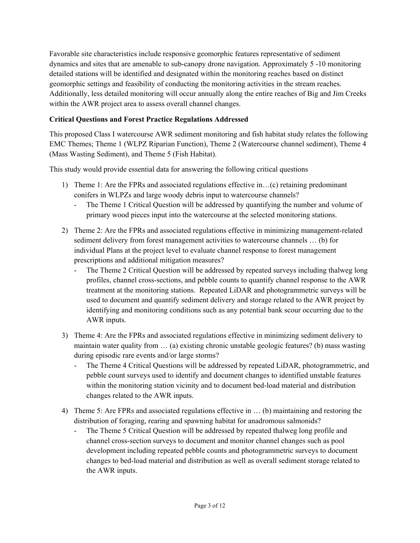dynamics and sites that are amenable to sub-canopy drone navigation. Approximately 5 -10 monitoring Favorable site characteristics include responsive geomorphic features representative of sediment detailed stations will be identified and designated within the monitoring reaches based on distinct geomorphic settings and feasibility of conducting the monitoring activities in the stream reaches. Additionally, less detailed monitoring will occur annually along the entire reaches of Big and Jim Creeks within the AWR project area to assess overall channel changes.

# **Critical Questions and Forest Practice Regulations Addressed**

This proposed Class I watercourse AWR sediment monitoring and fish habitat study relates the following EMC Themes; Theme 1 (WLPZ Riparian Function), Theme 2 (Watercourse channel sediment), Theme 4 (Mass Wasting Sediment), and Theme 5 (Fish Habitat).

This study would provide essential data for answering the following critical questions

- 1) Theme 1: Are the FPRs and associated regulations effective in...(c) retaining predominant conifers in WLPZs and large woody debris input to watercourse channels?
	- The Theme 1 Critical Question will be addressed by quantifying the number and volume of primary wood pieces input into the watercourse at the selected monitoring stations.
- 2) Theme 2: Are the FPRs and associated regulations effective in minimizing management-related sediment delivery from forest management activities to watercourse channels … (b) for individual Plans at the project level to evaluate channel response to forest management prescriptions and additional mitigation measures?
	- The Theme 2 Critical Question will be addressed by repeated surveys including thalweg long profiles, channel cross-sections, and pebble counts to quantify channel response to the AWR treatment at the monitoring stations. Repeated LiDAR and photogrammetric surveys will be used to document and quantify sediment delivery and storage related to the AWR project by identifying and monitoring conditions such as any potential bank scour occurring due to the AWR inputs.
- 3) Theme 4: Are the FPRs and associated regulations effective in minimizing sediment delivery to maintain water quality from … (a) existing chronic unstable geologic features? (b) mass wasting during episodic rare events and/or large storms?
	- The Theme 4 Critical Questions will be addressed by repeated LiDAR, photogrammetric, and pebble count surveys used to identify and document changes to identified unstable features within the monitoring station vicinity and to document bed-load material and distribution changes related to the AWR inputs.
- 4) Theme 5: Are FPRs and associated regulations effective in ... (b) maintaining and restoring the distribution of foraging, rearing and spawning habitat for anadromous salmonids?
	- The Theme 5 Critical Question will be addressed by repeated thalweg long profile and channel cross-section surveys to document and monitor channel changes such as pool development including repeated pebble counts and photogrammetric surveys to document changes to bed-load material and distribution as well as overall sediment storage related to the AWR inputs.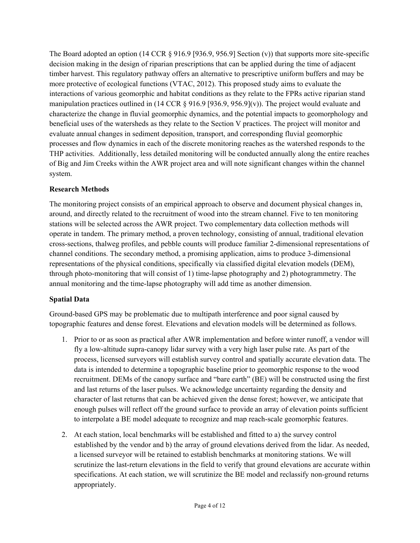The Board adopted an option (14 CCR  $\S 916.9$  [936.9, 956.9] Section (v)) that supports more site-specific decision making in the design of riparian prescriptions that can be applied during the time of adjacent timber harvest. This regulatory pathway offers an alternative to prescriptive uniform buffers and may be more protective of ecological functions (VTAC, 2012). This proposed study aims to evaluate the interactions of various geomorphic and habitat conditions as they relate to the FPRs active riparian stand manipulation practices outlined in (14 CCR § 916.9 [936.9, 956.9](v)). The project would evaluate and characterize the change in fluvial geomorphic dynamics, and the potential impacts to geomorphology and beneficial uses of the watersheds as they relate to the Section V practices. The project will monitor and evaluate annual changes in sediment deposition, transport, and corresponding fluvial geomorphic processes and flow dynamics in each of the discrete monitoring reaches as the watershed responds to the THP activities. Additionally, less detailed monitoring will be conducted annually along the entire reaches of Big and Jim Creeks within the AWR project area and will note significant changes within the channel system.

# **Research Methods**

The monitoring project consists of an empirical approach to observe and document physical changes in, around, and directly related to the recruitment of wood into the stream channel. Five to ten monitoring stations will be selected across the AWR project. Two complementary data collection methods will operate in tandem. The primary method, a proven technology, consisting of annual, traditional elevation cross-sections, thalweg profiles, and pebble counts will produce familiar 2-dimensional representations of channel conditions. The secondary method, a promising application, aims to produce 3-dimensional representations of the physical conditions, specifically via classified digital elevation models (DEM), through photo-monitoring that will consist of 1) time-lapse photography and 2) photogrammetry. The annual monitoring and the time-lapse photography will add time as another dimension.

# **Spatial Data**

Ground-based GPS may be problematic due to multipath interference and poor signal caused by topographic features and dense forest. Elevations and elevation models will be determined as follows.

- 1. Prior to or as soon as practical after AWR implementation and before winter runoff, a vendor will fly a low-altitude supra-canopy lidar survey with a very high laser pulse rate. As part of the process, licensed surveyors will establish survey control and spatially accurate elevation data. The data is intended to determine a topographic baseline prior to geomorphic response to the wood recruitment. DEMs of the canopy surface and "bare earth" (BE) will be constructed using the first and last returns of the laser pulses. We acknowledge uncertainty regarding the density and character of last returns that can be achieved given the dense forest; however, we anticipate that enough pulses will reflect off the ground surface to provide an array of elevation points sufficient to interpolate a BE model adequate to recognize and map reach-scale geomorphic features.
- established by the vendor and b) the array of ground elevations derived from the lidar. As needed, 2. At each station, local benchmarks will be established and fitted to a) the survey control a licensed surveyor will be retained to establish benchmarks at monitoring stations. We will scrutinize the last-return elevations in the field to verify that ground elevations are accurate within specifications. At each station, we will scrutinize the BE model and reclassify non-ground returns appropriately.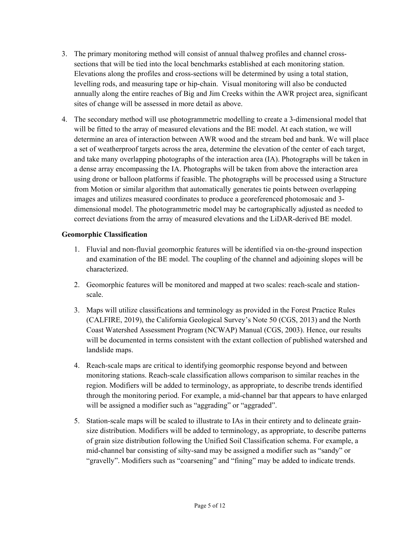- 3. The primary monitoring method will consist of annual thalweg profiles and channel crosssections that will be tied into the local benchmarks established at each monitoring station. Elevations along the profiles and cross-sections will be determined by using a total station, levelling rods, and measuring tape or hip-chain. Visual monitoring will also be conducted annually along the entire reaches of Big and Jim Creeks within the AWR project area, significant sites of change will be assessed in more detail as above.
- correct deviations from the array of measured elevations and the LiDAR-derived BE model. 4. The secondary method will use photogrammetric modelling to create a 3-dimensional model that will be fitted to the array of measured elevations and the BE model. At each station, we will determine an area of interaction between AWR wood and the stream bed and bank. We will place a set of weatherproof targets across the area, determine the elevation of the center of each target, and take many overlapping photographs of the interaction area (IA). Photographs will be taken in a dense array encompassing the IA. Photographs will be taken from above the interaction area using drone or balloon platforms if feasible. The photographs will be processed using a Structure from Motion or similar algorithm that automatically generates tie points between overlapping images and utilizes measured coordinates to produce a georeferenced photomosaic and 3 dimensional model. The photogrammetric model may be cartographically adjusted as needed to

# **Geomorphic Classification**

- 1. Fluvial and non-fluvial geomorphic features will be identified via on-the-ground inspection and examination of the BE model. The coupling of the channel and adjoining slopes will be characterized.
- 2. Geomorphic features will be monitored and mapped at two scales: reach-scale and stationscale.
- 3. Maps will utilize classifications and terminology as provided in the Forest Practice Rules (CALFIRE, 2019), the California Geological Survey's Note 50 (CGS, 2013) and the North Coast Watershed Assessment Program (NCWAP) Manual (CGS, 2003). Hence, our results will be documented in terms consistent with the extant collection of published watershed and landslide maps.
- 4. Reach-scale maps are critical to identifying geomorphic response beyond and between monitoring stations. Reach-scale classification allows comparison to similar reaches in the region. Modifiers will be added to terminology, as appropriate, to describe trends identified through the monitoring period. For example, a mid-channel bar that appears to have enlarged will be assigned a modifier such as "aggrading" or "aggraded".
- 5. Station-scale maps will be scaled to illustrate to IAs in their entirety and to delineate grainsize distribution. Modifiers will be added to terminology, as appropriate, to describe patterns of grain size distribution following the Unified Soil Classification schema. For example, a mid-channel bar consisting of silty-sand may be assigned a modifier such as "sandy" or "gravelly". Modifiers such as "coarsening" and "fining" may be added to indicate trends.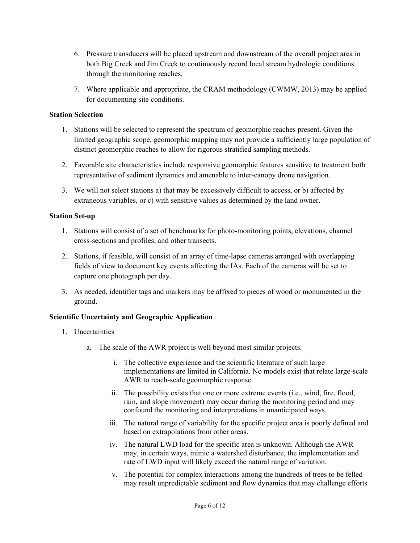- 6. Pressure transducers will be placed upstream and downstream of the overall project area in both Big Creek and Jim Creek to continuously record local stream hydrologic conditions through the monitoring reaches.
- 7. Where applicable and appropriate, the CRAM methodology (CWMW, 2013) may be applied for documenting site conditions.

### **Station Selection**

- 1. Stations will be selected to represent the spectrum of geomorphic reaches present. Given the limited geographic scope, geomorphic mapping may not provide a sufficiently large population of distinct geomorphic reaches to allow for rigorous stratified sampling methods.
- 2. Favorable site characteristics include responsive geomorphic features sensitive to treatment both representative of sediment dynamics and amenable to inter-canopy drone navigation.
- 3. We will not select stations a) that may be excessively difficult to access, or b) affected by extraneous variables, or c) with sensitive values as determined by the land owner.

#### **Station Set-up**

- 1. Stations will consist of a set of benchmarks for photo-monitoring points, elevations, channel cross-sections and profiles, and other transects.
- capture one photograph per day. 2. Stations, if feasible, will consist of an array of time-lapse cameras arranged with overlapping fields of view to document key events affecting the IAs. Each of the cameras will be set to
- 3. As needed, identifier tags and markers may be affixed to pieces of wood or monumented in the ground.

# **Scientific Uncertainty and Geographic Application**

- 1. Uncertainties
	- a. The scale of the AWR project is well beyond most similar projects.
		- i. The collective experience and the scientific literature of such large implementations are limited in California. No models exist that relate large-scale AWR to reach-scale geomorphic response.
		- ii. The possibility exists that one or more extreme events (i.e., wind, fire, flood, rain, and slope movement) may occur during the monitoring period and may confound the monitoring and interpretations in unanticipated ways.
		- iii. The natural range of variability for the specific project area is poorly defined and based on extrapolations from other areas.
		- iv. The natural LWD load for the specific area is unknown. Although the AWR may, in certain ways, mimic a watershed disturbance, the implementation and rate of LWD input will likely exceed the natural range of variation.
		- v. The potential for complex interactions among the hundreds of trees to be felled may result unpredictable sediment and flow dynamics that may challenge efforts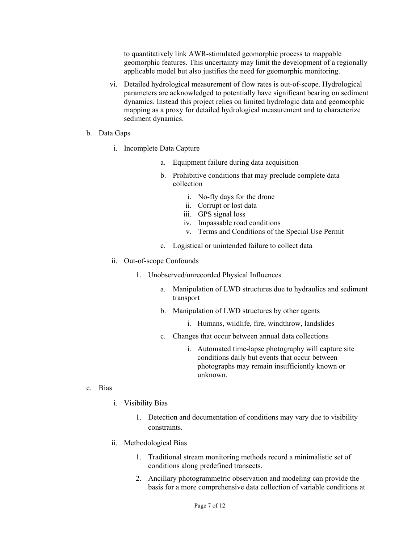to quantitatively link AWR-stimulated geomorphic process to mappable geomorphic features. This uncertainty may limit the development of a regionally applicable model but also justifies the need for geomorphic monitoring.

- vi. Detailed hydrological measurement of flow rates is out-of-scope. Hydrological parameters are acknowledged to potentially have significant bearing on sediment dynamics. Instead this project relies on limited hydrologic data and geomorphic mapping as a proxy for detailed hydrological measurement and to characterize sediment dynamics.
- b. Data Gaps
	- i. Incomplete Data Capture
		- a. Equipment failure during data acquisition
		- b. Prohibitive conditions that may preclude complete data collection
			- i. No-fly days for the drone
			- ii. Corrupt or lost data
			- iii. GPS signal loss
			- iv. Impassable road conditions
			- v. Terms and Conditions of the Special Use Permit
		- c. Logistical or unintended failure to collect data
	- ii. Out-of-scope Confounds
		- 1. Unobserved/unrecorded Physical Influences
			- a. Manipulation of LWD structures due to hydraulics and sediment transport
			- b. Manipulation of LWD structures by other agents
				- i. Humans, wildlife, fire, windthrow, landslides
			- c. Changes that occur between annual data collections
				- i. Automated time-lapse photography will capture site conditions daily but events that occur between photographs may remain insufficiently known or unknown.

- c. Bias
	- i. Visibility Bias
		- 1. Detection and documentation of conditions may vary due to visibility constraints.
	- ii. Methodological Bias
		- 1. Traditional stream monitoring methods record a minimalistic set of conditions along predefined transects.
		- 2. Ancillary photogrammetric observation and modeling can provide the basis for a more comprehensive data collection of variable conditions at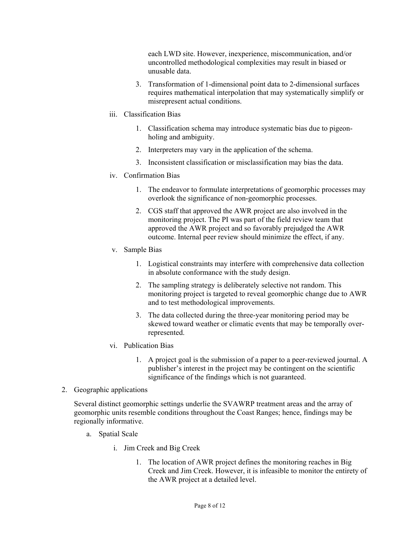each LWD site. However, inexperience, miscommunication, and/or uncontrolled methodological complexities may result in biased or unusable data.

- 3. Transformation of 1-dimensional point data to 2-dimensional surfaces requires mathematical interpolation that may systematically simplify or misrepresent actual conditions.
- iii. Classification Bias
	- 1. Classification schema may introduce systematic bias due to pigeonholing and ambiguity.
	- 2. Interpreters may vary in the application of the schema.
	- 3. Inconsistent classification or misclassification may bias the data.
- iv. Confirmation Bias
	- 1. The endeavor to formulate interpretations of geomorphic processes may overlook the significance of non-geomorphic processes.
	- 2. CGS staff that approved the AWR project are also involved in the monitoring project. The PI was part of the field review team that approved the AWR project and so favorably prejudged the AWR outcome. Internal peer review should minimize the effect, if any.
- v. Sample Bias
	- 1. Logistical constraints may interfere with comprehensive data collection in absolute conformance with the study design.
	- 2. The sampling strategy is deliberately selective not random. This monitoring project is targeted to reveal geomorphic change due to AWR and to test methodological improvements.
	- 3. The data collected during the three-year monitoring period may be skewed toward weather or climatic events that may be temporally overrepresented.
- vi. Publication Bias
	- 1. A project goal is the submission of a paper to a peer-reviewed journal. A publisher's interest in the project may be contingent on the scientific significance of the findings which is not guaranteed.
- 2. Geographic applications

Several distinct geomorphic settings underlie the SVAWRP treatment areas and the array of geomorphic units resemble conditions throughout the Coast Ranges; hence, findings may be regionally informative.

- a. Spatial Scale
	- i. Jim Creek and Big Creek
		- 1. The location of AWR project defines the monitoring reaches in Big Creek and Jim Creek. However, it is infeasible to monitor the entirety of the AWR project at a detailed level.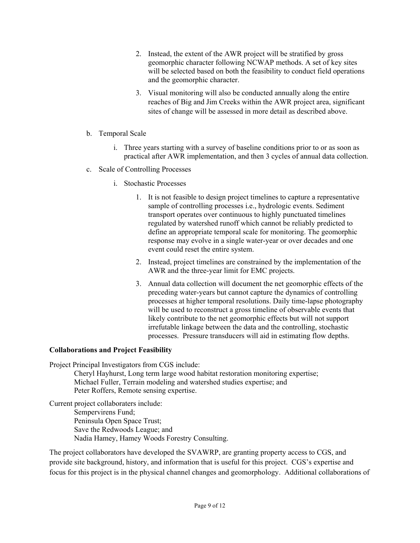- 2. Instead, the extent of the AWR project will be stratified by gross geomorphic character following NCWAP methods. A set of key sites will be selected based on both the feasibility to conduct field operations and the geomorphic character.
- 3. Visual monitoring will also be conducted annually along the entire reaches of Big and Jim Creeks within the AWR project area, significant sites of change will be assessed in more detail as described above.
- b. Temporal Scale
	- i. Three years starting with a survey of baseline conditions prior to or as soon as practical after AWR implementation, and then 3 cycles of annual data collection.
- c. Scale of Controlling Processes
	- i. Stochastic Processes
		- event could reset the entire system. 1. It is not feasible to design project timelines to capture a representative sample of controlling processes i.e., hydrologic events. Sediment transport operates over continuous to highly punctuated timelines regulated by watershed runoff which cannot be reliably predicted to define an appropriate temporal scale for monitoring. The geomorphic response may evolve in a single water-year or over decades and one
		- 2. Instead, project timelines are constrained by the implementation of the AWR and the three-year limit for EMC projects.
		- 3. Annual data collection will document the net geomorphic effects of the preceding water-years but cannot capture the dynamics of controlling processes at higher temporal resolutions. Daily time-lapse photography will be used to reconstruct a gross timeline of observable events that likely contribute to the net geomorphic effects but will not support irrefutable linkage between the data and the controlling, stochastic processes. Pressure transducers will aid in estimating flow depths.

# **Collaborations and Project Feasibility**

Project Principal Investigators from CGS include:

Cheryl Hayhurst, Long term large wood habitat restoration monitoring expertise; Michael Fuller, Terrain modeling and watershed studies expertise; and Peter Roffers, Remote sensing expertise.

Current project collaboraters include: Sempervirens Fund; Peninsula Open Space Trust; Save the Redwoods League; and Nadia Hamey, Hamey Woods Forestry Consulting.

The project collaborators have developed the SVAWRP, are granting property access to CGS, and provide site background, history, and information that is useful for this project. CGS's expertise and focus for this project is in the physical channel changes and geomorphology. Additional collaborations of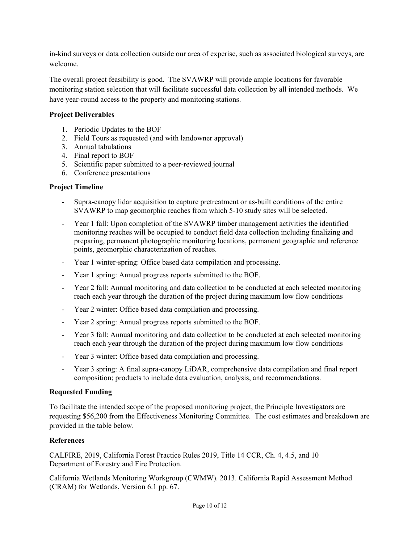in-kind surveys or data collection outside our area of experise, such as associated biological surveys, are welcome.

The overall project feasibility is good. The SVAWRP will provide ample locations for favorable monitoring station selection that will facilitate successful data collection by all intended methods. We have year-round access to the property and monitoring stations.

# **Project Deliverables**

- 1. Periodic Updates to the BOF
- 2. Field Tours as requested (and with landowner approval)
- 3. Annual tabulations
- 4. Final report to BOF
- 5. Scientific paper submitted to a peer-reviewed journal
- 6. Conference presentations

# **Project Timeline**

- Supra-canopy lidar acquisition to capture pretreatment or as-built conditions of the entire SVAWRP to map geomorphic reaches from which 5-10 study sites will be selected.
- Year 1 fall: Upon completion of the SVAWRP timber management activities the identified monitoring reaches will be occupied to conduct field data collection including finalizing and preparing, permanent photographic monitoring locations, permanent geographic and reference points, geomorphic characterization of reaches.
- Year 1 winter-spring: Office based data compilation and processing.
- Year 1 spring: Annual progress reports submitted to the BOF.
- Year 2 fall: Annual monitoring and data collection to be conducted at each selected monitoring reach each year through the duration of the project during maximum low flow conditions
- Year 2 winter: Office based data compilation and processing.
- Year 2 spring: Annual progress reports submitted to the BOF.
- Year 3 fall: Annual monitoring and data collection to be conducted at each selected monitoring reach each year through the duration of the project during maximum low flow conditions
- Year 3 winter: Office based data compilation and processing.
- Year 3 spring: A final supra-canopy LiDAR, comprehensive data compilation and final report composition; products to include data evaluation, analysis, and recommendations.

#### **Requested Funding**

To facilitate the intended scope of the proposed monitoring project, the Principle Investigators are requesting \$56,200 from the Effectiveness Monitoring Committee. The cost estimates and breakdown are provided in the table below.

# **References**

CALFIRE, 2019, California Forest Practice Rules 2019, Title 14 CCR, Ch. 4, 4.5, and 10 Department of Forestry and Fire Protection.

 (CRAM) for Wetlands, Version 6.1 pp. 67. California Wetlands Monitoring Workgroup (CWMW). 2013. California Rapid Assessment Method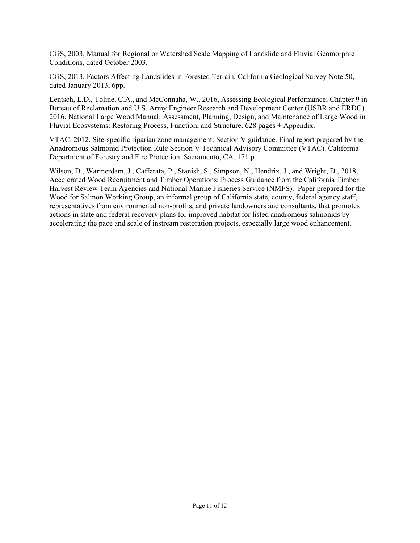CGS, 2003, Manual for Regional or Watershed Scale Mapping of Landslide and Fluvial Geomorphic Conditions, dated October 2003.

CGS, 2013, Factors Affecting Landslides in Forested Terrain, California Geological Survey Note 50, dated January 2013, 6pp.

Lentsch, L.D., Toline, C.A., and McConnaha, W., 2016, Assessing Ecological Performance; Chapter 9 in Bureau of Reclamation and U.S. Army Engineer Research and Development Center (USBR and ERDC). 2016. National Large Wood Manual: Assessment, Planning, Design, and Maintenance of Large Wood in Fluvial Ecosystems: Restoring Process, Function, and Structure. 628 pages + Appendix.

 Department of Forestry and Fire Protection. Sacramento, CA. 171 p. VTAC. 2012. Site‐specific riparian zone management: Section V guidance. Final report prepared by the Anadromous Salmonid Protection Rule Section V Technical Advisory Committee (VTAC). California

Wilson, D., Warmerdam, J., Cafferata, P., Stanish, S., Simpson, N., Hendrix, J., and Wright, D., 2018, Accelerated Wood Recruitment and Timber Operations: Process Guidance from the California Timber Harvest Review Team Agencies and National Marine Fisheries Service (NMFS). Paper prepared for the Wood for Salmon Working Group, an informal group of California state, county, federal agency staff, representatives from environmental non-profits, and private landowners and consultants, that promotes actions in state and federal recovery plans for improved habitat for listed anadromous salmonids by accelerating the pace and scale of instream restoration projects, especially large wood enhancement.